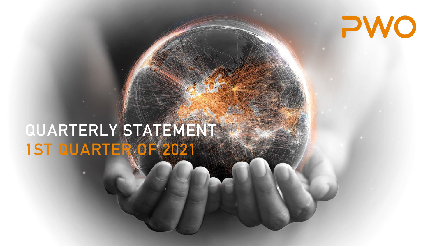# PWO

# **QUARTERLY STATEMENT 1ST QUARTER OF 2021**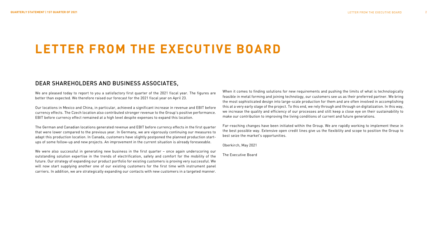# **LETTER FROM THE EXECUTIVE BOARD**

### DEAR SHAREHOLDERS AND BUSINESS ASSOCIATES,

We are pleased today to report to you a satisfactory first quarter of the 2021 fiscal year. The figures are better than expected. We therefore raised our forecast for the 2021 fiscal year on April 23.

Our locations in Mexico and China, in particular, achieved a significant increase in revenue and EBIT before currency effects. The Czech location also contributed stronger revenue to the Group's positive performance. EBIT before currency effect remained at a high level despite expenses to expand this location.

The German and Canadian locations generated revenue and EBIT before currency effects in the first quarter that were lower compared to the previous year. In Germany, we are vigorously continuing our measures to adapt this production location. In Canada, customers have slightly postponed the planned production startups of some follow-up and new projects. An improvement in the current situation is already foreseeable.

We were also successful in generating new business in the first guarter – once again underscoring our outstanding solution expertise in the trends of electrification, safety and comfort for the mobility of the future. Our strategy of expanding our product portfolio for existing customers is proving very successful. We will now start supplying another one of our existing customers for the first time with instrument panel carriers. In addition, we are strategically expanding our contacts with new customers in a targeted manner.

When it comes to finding solutions for new requirements and pushing the limits of what is technologically feasible in metal forming and joining technology, our customers see us as their preferred partner. We bring the most sophisticated design into large-scale production for them and are often involved in accomplishing this at a very early stage of the project. To this end, we rely through and through on digitalization. In this way, we increase the quality and efficiency of our processes and still keep a close eye on their sustainability to make our contribution to improving the living conditions of current and future generations.

Far-reaching changes have been initiated within the Group. We are rapidly working to implement these in the best possible way. Extensive open credit lines give us the flexibility and scope to position the Group to best seize the market's opportunities.

Oberkirch, May 2021

The Executive Board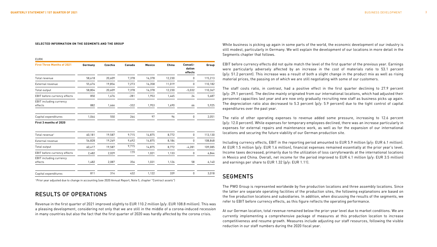#### **SELECTED INFORMATION ON THE SEGMENTS AND THE GROUP**

#### EURK

| <b>First Three Months of 2021</b>         | Germany | Czechia | Canada | Mexico | China  | Consoli-<br>dation<br>effects | Group   |
|-------------------------------------------|---------|---------|--------|--------|--------|-------------------------------|---------|
| Total revenue                             | 58,618  | 20,609  | 7,378  | 16,378 | 12,230 | 0                             | 115,213 |
| External revenue                          | 55,676  | 19,856  | 7,273  | 16,358 | 11,019 | 0                             | 110,182 |
| Total output                              | 58,804  | 20,609  | 7,378  | 16,378 | 12,230 | $-5,032$                      | 110,367 |
| EBIT before currency effects              | 850     | 1,676   | $-281$ | 1,953  | 1,465  | 24                            | 5,687   |
| EBIT including currency<br>effects        | 882     | 1,666   | $-332$ | 1,953  | 1,690  | 66                            | 5,925   |
| Capital expenditures                      | 1,044   | 550     | 264    | 97     | 96     | 0                             | 2,051   |
| First 3 months of 2020                    |         |         |        |        |        |                               |         |
| Total revenue <sup>1</sup>                | 60,181  | 19,587  | 9,715  | 14,875 | 8,772  | 0                             | 113,130 |
| External revenue                          | 56,828  | 19,269  | 9,692  | 14,875 | 8,184  | 0                             | 108,848 |
| Total output                              | 60,417  | 19,587  | 9,715  | 14,875 | 8,772  | $-4,281$                      | 109,085 |
| EBIT before currency effects              | 2,482   | 2,029   | 179    | 1,021  | 1,133  | 0                             | 6,844   |
| <b>EBIT</b> including currency<br>effects | 1,482   | 2,087   | 356    | 1,031  | 1,126  | 58                            | 6,140   |
| Capital expenditures                      | 811     | 314     | 432    | 1,122  | 339    | 0                             | 3,018   |

1Prior year adjusted due to change in accounting (see 2020 Annual Report, Note 5, chapter "Contract assets")

# RESULTS OF OPERATIONS

Revenue in the first quarter of 2021 improved slightly to EUR 110.2 million (p/y: EUR 108.8 million). This was a pleasing development, considering not only that we are still in the middle of a corona-induced recession in many countries but also the fact that the first quarter of 2020 was hardly affected by the corona crisis.

While business is picking up again in some parts of the world, the economic development of our industry is still modest, particularly in Germany. We will explain the development of our locations in more detail in the Segments chapter that follows.

EBIT before currency effects did not quite match the level of the first quarter of the previous year. Earnings were particularly adversely affected by an increase in the cost of materials ratio to 53.1 percent (p/y: 51.2 percent). This increase was a result of both a slight change in the product mix as well as rising material prices, the passing on of which we are still negotiating with some of our customers.

The staff costs ratio, in contrast, had a positive effect in the first quarter declining to 27.9 percent (p/y: 29.1 percent). The decline mainly originated from our international locations, which had adjusted their personnel capacities last year and are now only gradually recruiting new staff as business picks up again. The depreciation ratio also decreased to 5.3 percent  $[p/y: 5.9$  percent) due to the tight control of capital expenditures over the past year.

The ratio of other operating expenses to revenue added some pressure, increasing to 12.6 percent (p/y: 12.0 percent). While expenses for temporary employees declined, there was an increase particularly in expenses for external repairs and maintenance work, as well as for the expansion of our international locations and securing the future viability of our German production site.

Including currency effects, EBIT in the reporting period amounted to EUR 5.9 million (p/y: EUR 6.1 million). At EUR 1.5 million (p/y: EUR 1.6 million), financial expenses remained essentially at the prior year's level. Income taxes decreased, primarily due to the utilization of loss carryforwards at the international locations in Mexico and China. Overall, net income for the period improved to EUR 4.1 million (p/y: EUR 3.5 million) and earnings per share to EUR 1.32 (p/y: EUR 1.11).

## **SEGMENTS**

The PWO Group is represented worldwide by five production locations and three assembly locations. Since the latter are separate operating facilities of the production sites, the following explanations are based on the five production locations and subsidiaries. In addition, when discussing the results of the segments, we refer to EBIT before currency effects, as this figure reflects the operating performance.

At our German location, total revenue remained below the prior-year level due to market conditions. We are currently implementing a comprehensive package of measures at this production location to increase competitiveness and resume growth. Measures include adjusting our staff resources, following the visible reduction in our staff numbers during the 2020 fiscal year.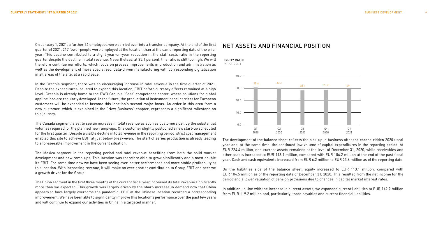On January 1, 2021, a further 74 employees were carried over into a transfer company. At the end of the first quarter of 2021, 217 fewer people were employed at the location than at the same reporting date of the prior year. This decline contributed to a slight year-on-year reduction in the staff costs ratio in the reporting quarter despite the decline in total revenue. Nevertheless, at 35.1 percent, this ratio is still too high. We will therefore continue our efforts, which focus on process improvements in production and administration as well as the development of more specialized, data-driven manufacturing with corresponding digitalization in all areas of the site, at a rapid pace.

In the Czechia segment, there was an encouraging increase in total revenue in the first quarter of 2021. Despite the expenditures incurred to expand this location, EBIT before currency effects remained at a high level. Czechia is already home to the PWO Group's "Seat" competence center, where solutions for global applications are regularly developed. In the future, the production of instrument panel carriers for European customers will be expanded to become this location's second major focus. An order in this area from a new customer, which is explained in the "New Business" chapter, represents a significant milestone on this journey.

The Canada segment is set to see an increase in total revenue as soon as customers call up the substantial volumes required for the planned new ramp-ups. One customer slightly postponed a new start-up scheduled for the first quarter. Despite a visible decline in total revenue in the reporting period, strict cost management enabled this site to achieve EBIT at just below break-even. The start of series production is already leading to a foreseeable improvement in the current situation.

The Mexico segment in the reporting period had total revenue benefiting from both the solid market development and new ramp-ups. This location was therefore able to grow significantly and almost double its EBIT. For some time now we have been seeing ever-better performance and more stable profitability at this location. With increasing revenue, it will make an ever greater contribution to Group EBIT and become a growth driver for the Group.

The China segment in the first three months of the current fiscal year increased its total revenue significantly more than we expected. This growth was largely driven by the sharp increase in demand now that China appears to have largely overcome the pandemic. EBIT at the Chinese location recorded a corresponding improvement. We have been able to significantly improve this location's performance over the past few years and will continue to expand our activities in China in a targeted manner.

### NET ASSETS AND FINANCIAL POSITION

#### **EQUITY RATIO**

IN PERCENT



The development of the balance sheet reflects the pick-up in business after the corona-ridden 2020 fiscal year and, at the same time, the continued low volume of capital expenditures in the reporting period. At EUR 224.4 million, non-current assets remained at the level of December 31, 2020, while receivables and other assets increased to EUR 113.1 million, compared with EUR 106.2 million at the end of the past fiscal year. Cash and cash equivalents increased from EUR 6.2 million to EUR 23.6 million as of the reporting date.

On the liabilities side of the balance sheet, equity increased to EUR 113.1 million, compared with EUR 104.5 million as of the reporting date of December 31, 2020. This resulted from the net income for the period and a lower valuation of pension provisions due to changes in capital market interest rates.

In addition, in line with the increase in current assets, we expanded current liabilities to EUR 142.9 million from EUR 119.2 million and, particularly, trade payables and current financial liabilities.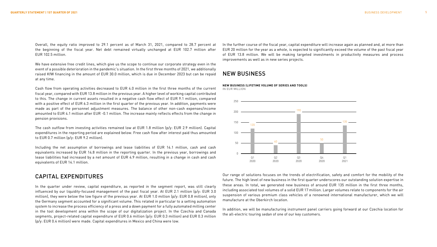Overall, the equity ratio improved to 29.1 percent as of March 31, 2021, compared to 28.7 percent at the beginning of the fiscal year. Net debt remained virtually unchanged at EUR 102.7 million after EUR 102.5 million.

We have extensive free credit lines, which give us the scope to continue our corporate strategy even in the event of a possible deterioration in the pandemic's situation. In the first three months of 2021, we additionally raised KfW financing in the amount of EUR 30.0 million, which is due in December 2023 but can be repaid at any time.

Cash flow from operating activities decreased to EUR 4.0 million in the first three months of the current fiscal year, compared with EUR 13.8 million in the previous year. A higher level of working capital contributed to this. The change in current assets resulted in a negative cash flow effect of EUR 9.1 million, compared with a positive effect of EUR 6.3 million in the first quarter of the previous year. In addition, payments were made as part of the personnel adjustment measures. The balance of other non-cash expenses/income amounted to EUR 4.1 million after EUR -0.1 million. The increase mainly reflects effects from the change in pension provisions.

The cash outflow from investing activities remained low at EUR 1.8 million (p/y: EUR 2.9 million). Capital expenditures in the reporting period are explained below. Free cash flow after interest paid thus amounted to EUR 0.7 million (p/y: EUR 9.2 million).

Including the net assumption of borrowings and lease liabilities of EUR 14.1 million, cash and cash equivalents increased by EUR 14.8 million in the reporting quarter. In the previous year, borrowings and lease liabilities had increased by a net amount of EUR 4.9 million, resulting in a change in cash and cash equivalents of EUR 14.1 million.

### CAPITAL EXPENDITURES

In the quarter under review, capital expenditure, as reported in the segment report, was still clearly influenced by our liquidity-focused management of the past fiscal year. At EUR 2.1 million (p/y: EUR 3.0 million), they were below the low figure of the previous year. At EUR 1.0 million (p/y: EUR 0.8 million), only the Germany segment accounted for a significant volume. This related in particular to a setting automation system to increase the process efficiency of a press and a down payment for a fully automated milling center in the tool development area within the scope of our digitalization project. In the Czechia and Canada segments, project-related capital expenditure of EUR 0.6 million (p/y: EUR 0.3 million) and EUR 0.3 million (p/y: EUR 0.4 million) were made. Capital expenditures in Mexico and China were low.

In the further course of the fiscal year, capital expenditure will increase again as planned and, at more than EUR 20 million for the year as a whole, is expected to significantly exceed the volume of the past fiscal year of EUR 13.8 million. We will be making targeted investments in productivity measures and process improvements as well as in new series projects.

### NEW BUSINESS

#### **NEW BUSINESS (LIFETIME VOLUME OF SERIES AND TOOLS)**

IN EUR MILLION



Our range of solutions focuses on the trends of electrification, safety and comfort for the mobility of the future. The high level of new business in the first quarter underscores our outstanding solution expertise in these areas. In total, we generated new business of around EUR 135 million in the first three months, including associated tool volumes of a solid EUR 17 million. Larger volumes relate to components for the air suspension of various premium class vehicles of a renowned international manufacturer, which we will manufacture at the Oberkirch location.

In addition, we will be manufacturing instrument panel carriers going forward at our Czechia location for the all-electric touring sedan of one of our key customers.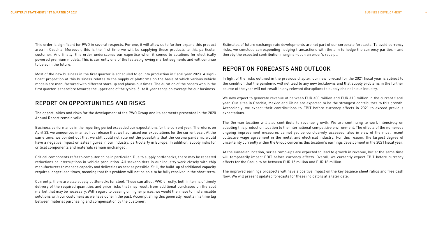This order is significant for PWO in several respects. For one, it will allow us to further expand this product area in Czechia. Moreover, this is the first time we will be supplying these products to this particular customer. And finally, this order underscores our expertise when it comes to solutions for electrically powered premium models. This is currently one of the fastest-growing market segments and will continue to be so in the future.

Most of the new business in the first quarter is scheduled to go into production in fiscal year 2023. A significant proportion of this business relates to the supply of platforms on the basis of which various vehicle models are manufactured with different start-up and phase-out times. The duration of the orders won in the first quarter is therefore towards the upper end of the typical 5- to 8-year range on average for our business.

### REPORT ON OPPORTUNITIES AND RISKS

The opportunities and risks for the development of the PWO Group and its segments presented in the 2020 Annual Report remain valid.

Business performance in the reporting period exceeded our expectations for the current year. Therefore, on April 23, we announced in an ad hoc release that we had raised our expectations for the current year. At the same time, we pointed out that we still could not rule out the possibility that the corona pandemic would have a negative impact on sales figures in our industry, particularly in Europe. In addition, supply risks for critical components and materials remain unchanged.

Critical components refer to computer chips in particular. Due to supply bottlenecks, there may be repeated reductions or interruptions in vehicle production. All stakeholders in our industry work closely with chip manufacturers to manage capacity and deliveries as best as possible. Still, the build-up of additional capacity requires longer lead times, meaning that this problem will not be able to be fully resolved in the short term.

Currently, there are also supply bottlenecks for steel. These can affect PWO directly, both in terms of timely delivery of the required quantities and price risks that may result from additional purchases on the spot market that may be necessary. With regard to passing on higher prices, we would then have to find amicable solutions with our customers as we have done in the past. Accomplishing this generally results in a time lag between material purchasing and compensation by the customer.

Estimates of future exchange rate developments are not part of our corporate forecasts. To avoid currency risks, we conclude corresponding hedging transactions with the aim to hedge the currency parities – and thereby the expected contribution margins –upon an order's receipt.

### REPORT ON FORECASTS AND OUTLOOK

In light of the risks outlined in the previous chapter, our new forecast for the 2021 fiscal year is subject to the condition that the pandemic will not lead to any new lockdowns and that supply problems in the further course of the year will not result in any relevant disruptions to supply chains in our industry.

We now expect to generate revenue of between EUR 400 million and EUR 410 million in the current fiscal year. Our sites in Czechia, Mexico and China are expected to be the strongest contributors to this growth. Accordingly, we expect their contributions to EBIT before currency effects in 2021 to exceed previous expectations.

The German location will also contribute to revenue growth. We are continuing to work intensively on adapting this production location to the international competitive environment. The effects of the numerous ongoing improvement measures cannot yet be conclusively assessed, also in view of the most recent collective wage agreement in the metal and electrical industry. For this reason, the largest degree of uncertainty currently within the Group concerns this location's earnings development in the 2021 fiscal year.

At the Canadian location, series ramp-ups are expected to lead to growth in revenue, but at the same time will temporarily impact EBIT before currency effects. Overall, we currently expect EBIT before currency effects for the Group to be between EUR 15 million and EUR 18 million.

The improved earnings prospects will have a positive impact on the key balance sheet ratios and free cash flow. We will present updated forecasts for these indicators at a later date.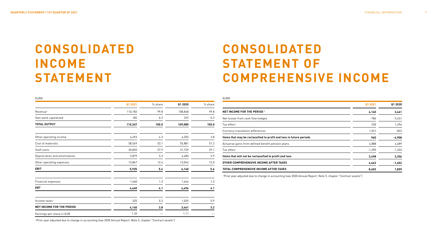# **CONSOLIDATED INCOME STATEMENT**

# **CONSOLIDATED STATEMENT OF COMPREHENSIVE INCOME**

| <b>EURK</b>                   |         |         |         |         |
|-------------------------------|---------|---------|---------|---------|
|                               | Q1 2021 | % share | Q1 2020 | % share |
| Revenue <sup>1</sup>          | 110,182 | 99.8    | 108,848 | 99.8    |
| Own work capitalized          | 185     | 0.2     | 237     | 0.2     |
| <b>TOTAL OUTPUT</b>           | 110,367 | 100.0   | 109,085 | 100.0   |
| Other operating income        | 4,693   | 4.3     | 4,202   | 3.8     |
| Cost of materials             | 58,569  | 53.1    | 55,881  | 51.2    |
| Staff costs                   | 30,820  | 27.9    | 31,739  | 29.1    |
| Depreciation and amortization | 5,879   | 5.3     | 6,483   | 5.9     |
| Other operating expenses      | 13,867  | 12.6    | 13,044  | 12.0    |
| <b>EBIT</b>                   | 5,925   | 5.4     | 6,140   | 5.6     |
| <b>Financial expenses</b>     | 1,460   | 1.3     | 1,644   | 1.5     |
| EBT                           | 4,465   | 4.1     | 4,496   | 4.1     |
| Income taxes <sup>1</sup>     | 325     | 0.3     | 1,035   | 0.9     |
| NET INCOME FOR THE PERIOD     | 4,140   | 3.8     | 3,461   | 3.2     |
| Earnings per share in EUR     | 1.32    |         | 1.11    |         |

| <b>EURK</b>                                                         |          |          |
|---------------------------------------------------------------------|----------|----------|
|                                                                     | Q1 2021  | 01 20 20 |
| <b>NET INCOME FOR THE PERIOD 1</b>                                  | 4,140    | 3,461    |
| Net losses from cash flow hedges                                    | $-786$   | $-5,431$ |
| Tax effect                                                          | 230      | 1,296    |
| Currency translation differences                                    | 1,521    | $-823$   |
| Items that may be reclassified to profit and loss in future periods | 965      | -4,958   |
| Actuarial gains from defined benefit pension plans                  | 4,888    | 4,689    |
| Tax effect                                                          | $-1,390$ | $-1,333$ |
| Items that will not be reclassified to profit and loss              | 3,498    | 3,356    |
| OTHER COMPREHENSIVE INCOME AFTER TAXES                              | 4,463    | $-1,602$ |
| TOTAL COMPREHENSIVE INCOME AFTER TAXES                              | 8,603    | 1,859    |

1 Prior year adjusted due to change in accounting (see 2020 Annual Report, Note 5, chapter "Contract assets")

1 Prior year adjusted due to change in accounting (see 2020 Annual Report, Note 5, chapter "Contract assets")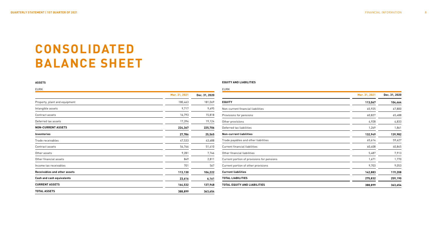# **CONSOLIDATED BALANCE SHEET**

#### **ASSETS**

### **EQUITY AND LIABILITIES**

|                                     | Mar. 31, 2021 | Dec. 31, 2020 |
|-------------------------------------|---------------|---------------|
| Property, plant and equipment       | 180,463       | 181,069       |
| Intangible assets                   | 9,717         | 9,695         |
| Contract assets                     | 16,793        | 15,818        |
| Deferred tax assets                 | 17,394        | 19,124        |
| <b>NON-CURRENT ASSETS</b>           | 224,367       | 225,706       |
| Inventories                         | 27,786        | 25,565        |
| Trade receivables                   | 47,533        | 43,688        |
| Contract assets                     | 54,766        | 51,410        |
| Other assets                        | 9,281         | 7,746         |
| Other financial assets              | 849           | 2,811         |
| Income tax receivables              | 701           | 567           |
| <b>Receivables and other assets</b> | 113,130       | 106,222       |
| Cash and cash equivalents           | 23,616        | 6,161         |
| <b>CURRENT ASSETS</b>               | 164,532       | 137,948       |
| <b>TOTAL ASSETS</b>                 | 388,899       | 363,654       |

|                                            | Mar. 31, 2021 | Dec. 31, 2020 |
|--------------------------------------------|---------------|---------------|
| <b>EQUITY</b>                              | 113,067       | 104,464       |
| Non-current financial liabilities          | 65,925        | 67,800        |
| Provisions for pensions                    | 60,827        | 65,488        |
| Other provisions                           | 4,928         | 4,833         |
| Deferred tax liabilities                   | 1,269         | 1,861         |
| <b>Non-current liabilities</b>             | 132,949       | 139,982       |
| Trade payables and other liabilities       | 65,614        | 59,627        |
| <b>Current financial liabilities</b>       | 60,408        | 40,845        |
| Other financial liabilities                | 5,487         | 7,913         |
| Current portion of provisions for pensions | 1,671         | 1,770         |
| Current portion of other provisions        | 9,703         | 9,053         |
| <b>Current liabilities</b>                 | 142,883       | 119,208       |
| <b>TOTAL LIABILITIES</b>                   | 275,832       | 259,190       |
| <b>TOTAL EQUITY AND LIABILITIES</b>        | 388,899       | 363,654       |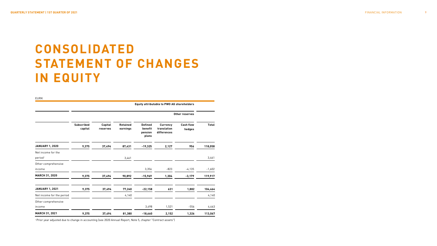# **CONSOLIDATED STATEMENT OF CHANGES IN EQUITY**

EURK

|                                           |                              |                     |                      |                                               | <b>Equity attributable to PWO AG shareholders</b> |                            |              |
|-------------------------------------------|------------------------------|---------------------|----------------------|-----------------------------------------------|---------------------------------------------------|----------------------------|--------------|
|                                           |                              |                     |                      |                                               |                                                   | Other reserves             |              |
|                                           | <b>Subscribed</b><br>capital | Capital<br>reserves | Retained<br>earnings | <b>Defined</b><br>benefit<br>pension<br>plans | Currency<br>translation<br>differences            | <b>Cash flow</b><br>hedges | <b>Total</b> |
| <b>JANUARY 1, 2020</b>                    | 9,375                        | 37,494              | 87,431               | $-19,325$                                     | 2,127                                             | 956                        | 118,058      |
| Net income for the<br>period <sup>1</sup> |                              |                     | 3,461                |                                               |                                                   |                            | 3,461        |
| Other comprehensive<br>income             |                              |                     |                      | 3,356                                         | $-823$                                            | $-4,135$                   | $-1,602$     |
| <b>MARCH 31, 2020</b>                     | 9,375                        | 37,494              | 90,892               | $-15,969$                                     | 1,304                                             | $-3,179$                   | 119,917      |
| <b>JANUARY 1, 2021</b>                    | 9,375                        | 37,494              | 77,240               | $-22,158$                                     | 631                                               | 1,882                      | 104,464      |
| Net income for the period                 |                              |                     | 4,140                |                                               |                                                   |                            | 4,140        |
| Other comprehensive<br>income             |                              |                     |                      | 3,498                                         | 1,521                                             | $-556$                     | 4,463        |
| <b>MARCH 31, 2021</b>                     | 9,375                        | 37,494              | 81,380               | $-18,660$                                     | 2,152                                             | 1,326                      | 113,067      |

1 Prior year adjusted due to change in accounting (see 2020 Annual Report, Note 5, chapter "Contract assets")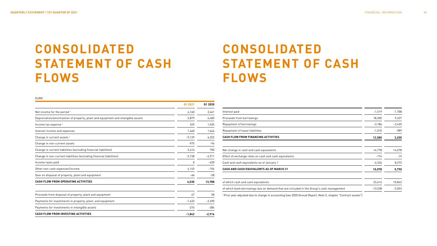# **CONSOLIDATED STATEMENT OF CASH FLOWS**

# **CONSOLIDATED STATEMENT OF CASH FLOWS**

EURK

|                                                                                  | Q1 2021  | Q1 2020  |
|----------------------------------------------------------------------------------|----------|----------|
| Net income for the period <sup>1</sup>                                           | 4,140    | 3,461    |
| Depreciation/amortization of property, plant and equipment and intangible assets | 5,879    | 6,483    |
| Income tax expense <sup>1</sup>                                                  | 325      | 1,035    |
| Interest income and expenses                                                     | 1,460    | 1,644    |
| Change in current assets <sup>1</sup>                                            | $-9,129$ | 6.252    |
| Change in non-current assets                                                     | $-975$   | $-94$    |
| Change in current liabilities (excluding financial liabilities)                  | 3,414    | 700      |
| Change in non-current liabilities (excluding financial liabilities)              | $-5,158$ | $-4,911$ |
| Income taxes paid                                                                | 0        | $-620$   |
| Other non-cash expenses/income                                                   | 4,145    | $-104$   |
| Gain on disposal of property, plant and equipment                                | -66      | $-58$    |
| <b>CASH FLOW FROM OPERATING ACTIVITIES</b>                                       | 4,035    | 13,788   |
| Proceeds from disposal of property, plant and equipment                          | 67       | 58       |
| Payments for investments in property, plant, and equipment                       | $-1,633$ | $-2,690$ |
| Payments for investments in intangible assets                                    | $-276$   | $-284$   |
| <b>CASH FLOW FROM INVESTING ACTIVITIES</b>                                       | $-1,842$ | $-2,916$ |

| Interest paid                                                                           | $-1,519$  | $-1,708$ |
|-----------------------------------------------------------------------------------------|-----------|----------|
| Proceeds from borrowings                                                                | 18,300    | 9,337    |
| Repayment of borrowings                                                                 | $-3,186$  | $-3,435$ |
| Repayment of lease liabilities                                                          | $-1,010$  | $-989$   |
| <b>CASH FLOW FROM FINANCING ACTIVITIES</b>                                              | 12,585    | 3,205    |
| Net change in cash and cash equivalents                                                 | 14,778    | 14,078   |
| Effect of exchange rates on cash and cash equivalents                                   | $-174$    | $-15$    |
| Cash and cash equivalents as of January 1                                               | $-4,526$  | 8,273    |
| <b>CASH AND CASH EQUIVALENTS AS OF MARCH 31</b>                                         | 10,078    | 5,790    |
| of which cash and cash equivalents                                                      | 23,616    | 10,843   |
| of which bank borrowings due on demand that are included in the Group's cash management | $-13,538$ | $-5,053$ |

1 Prior year adjusted due to change in accounting (see 2020 Annual Report, Note 5, chapter "Contract assets")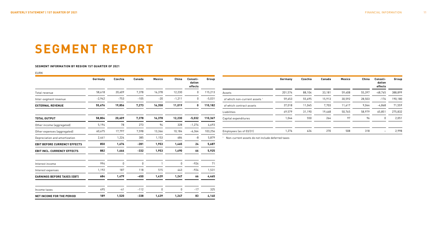# **SEGMENT REPORT**

#### **SEGMENT INFORMATION BY REGION 1ST QUARTER OF 2021**

#### EURK

|                                     | Germany  | Czechia | Canada      | Mexico      | China       | Consoli-<br>dation<br>effects | Group    |                                                   |
|-------------------------------------|----------|---------|-------------|-------------|-------------|-------------------------------|----------|---------------------------------------------------|
| Total revenue                       | 58,618   | 20,609  | 7,378       | 16,378      | 12,230      | $\pmb{0}$                     | 115,213  | Assets                                            |
| Inter-segment revenue               | $-2,942$ | $-753$  | $-105$      | $-20$       | $-1,211$    | $\pmb{0}$                     | $-5,031$ | of which non-current assets 1                     |
| <b>EXTERNAL REVENUE</b>             | 55,676   | 19,856  | 7,273       | 16,358      | 11,019      | 0                             | 110,182  | of which contract assets                          |
|                                     |          |         |             |             |             |                               |          | Liabilities                                       |
| <b>TOTAL OUTPUT</b>                 | 58,804   | 20,609  | 7,378       | 16,378      | 12,230      | $-5,032$                      | 110,367  | Capital expenditures                              |
| Other income (aggregated)           | 5,194    | 78      | 273         | 94          | 328         | $-1,274$                      | 4,693    |                                                   |
| Other expenses (aggregated)         | 60,675   | 17,797  | 7,598       | 13,366      | 10,184      | $-6,364$                      | 103,256  | Employees (as of 03/31)                           |
| Depreciation and amortization       | 2,441    | 1,224   | 385         | 1,153       | 684         | -8                            | 5,879    | <sup>1</sup> Non-current assets do not include de |
| <b>EBIT BEFORE CURRENCY EFFECTS</b> | 850      | 1,676   | $-281$      | 1,953       | 1,465       | 24                            | 5,687    |                                                   |
| <b>EBIT INCL. CURRENCY EFFECTS</b>  | 882      | 1,666   | -332        | 1,953       | 1,690       | 66                            | 5,925    |                                                   |
| Interest income                     | 994      | 0       | $\mathbf 0$ |             | $\mathbf 0$ | $-924$                        | 71       |                                                   |
| Interest expenses                   | 1,192    | 187     | 118         | 515         | 443         | $-924$                        | 1,531    |                                                   |
| <b>EARNINGS BEFORE TAXES (EBT)</b>  | 684      | 1,479   | $-450$      | 1,439       | 1,247       | 66                            | 4,465    |                                                   |
| Income taxes                        | 495      | $-41$   | $-112$      | $\mathbf 0$ | 0           | $-17$                         | 325      |                                                   |
| NET INCOME FOR THE PERIOD           | 189      | 1,520   | -338        | 1,439       | 1,247       | 83                            | 4,140    |                                                   |

|                               | Germany | Czechia | Canada | Mexico | China  | Consoli-<br>dation<br>effects | Group   |
|-------------------------------|---------|---------|--------|--------|--------|-------------------------------|---------|
| Assets                        | 201,574 | 88,104  | 33,181 | 59,408 | 55,397 | $-48.765$                     | 388,899 |
| of which non-current assets 1 | 59.653  | 55.695  | 15,913 | 30.592 | 28.503 | $-176$                        | 190.180 |
| of which contract assets      | 37,018  | 11.045  | 7.703  | 11.617 | 9.044  | $-4.868$                      | 71,559  |
| Liabilities                   | 49,579  | 31,190  | 19.468 | 50.765 | 58.979 | 65.851                        | 275,832 |
| Capital expenditures          | 1.044   | 550     | 264    | 97     | 96     | 0                             | 2,051   |
| Employees (as of 03/31)       | 1,276   | 626     | 270    | 508    | 318    | -                             | 2,998   |

eferred taxes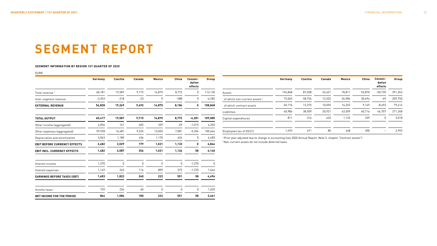# **SEGMENT REPORT**

#### **SEGMENT INFORMATION BY REGION 1ST QUARTER OF 2020**

#### EURK

|                                     | Germany  | Czechia | Canada | Mexico   | China    | Consoli-<br>dation<br>effects | Group    |
|-------------------------------------|----------|---------|--------|----------|----------|-------------------------------|----------|
| Total revenue <sup>1</sup>          | 60,181   | 19,587  | 9,715  | 14,875   | 8,772    | 0                             | 113,130  |
| Inter-segment revenue               | $-3,353$ | $-318$  | $-23$  | 0        | $-588$   | 0                             | $-4,282$ |
| <b>EXTERNAL REVENUE</b>             | 56,828   | 19,269  | 9,692  | 14,875   | 8,184    | 0                             | 108,848  |
| <b>TOTAL OUTPUT</b>                 | 60,417   | 19,587  | 9,715  | 14,875   | 8,772    | $-4,281$                      | 109,085  |
| Other income (aggregated)           | 4,056    | 161     | 602    | 329      | 69       | $-1,015$                      | 4,202    |
| Other expenses (aggregated)         | 59,928   | 16,481  | 9,525  | 13,003   | 7,081    | $-5,354$                      | 100,664  |
| Depreciation and amortization       | 3,063    | 1,180   | 436    | 1,170    | 634      | 0                             | 6,483    |
| <b>EBIT BEFORE CURRENCY EFFECTS</b> | 2,482    | 2,029   | 179    | 1,021    | 1,133    | 0                             | 6,844    |
| <b>EBIT INCL. CURRENCY EFFECTS</b>  | 1,482    | 2,087   | 356    | 1,031    | 1,126    | 58                            | 6,140    |
| Interest income                     | 1,270    | 0       | 0      | 0        | 0        | $-1,270$                      | 0        |
| Interest expenses                   | 1,149    | 265     | 116    | 809      | 575      | $-1,270$                      | 1,644    |
| <b>EARNINGS BEFORE TAXES (EBT)</b>  | 1,603    | 1,822   | 240    | 222      | 551      | 58                            | 4,496    |
| Income taxes <sup>1</sup>           | 739      | 236     | 60     | $\Omega$ | $\Omega$ | $\mathbf{0}$                  | 1,035    |
| <b>NET INCOME FOR THE PERIOD</b>    | 864      | 1,586   | 180    | 222      | 551      | 58                            | 3,461    |

|                               | Germany | Czechia | Canada | Mexico | China  | Consoli-<br>dation<br>effects | Group   |
|-------------------------------|---------|---------|--------|--------|--------|-------------------------------|---------|
| Assets                        | 196.868 | 87.028  | 33.421 | 70.811 | 53,870 | $-50.735$                     | 391.263 |
| of which non-current assets 2 | 72,065  | 58,754  | 13,322 | 34,984 | 30,694 | -69                           | 209,750 |
| of which contract assets      | 40,176  | 12,275  | 10.055 | 16,252 | 9,149  | $-8,493$                      | 79.414  |
| Liabilities                   | 40,986  | 38,509  | 20,921 | 63,509 | 60,716 | 46,707                        | 271,348 |
| Capital expenditures          | 811     | 314     | 432    | 1,122  | 339    | 0                             | 3,018   |
| Employees (as of 03/31)       | 1,493   | 671     | 80     | 448    | 300    |                               | 2,992   |

.<br>Prior year adjusted due to change in accounting (see 2020 Annual Report, Note 5, chapter "Contract assets") 2Non-current assets do not include deferred taxes